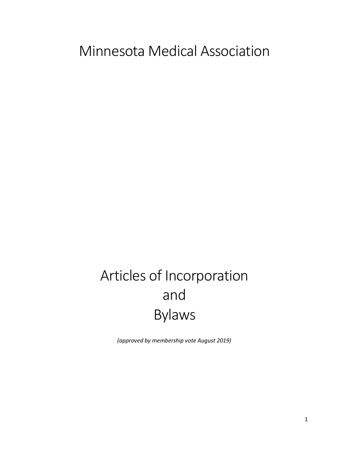# Minnesota Medical Association

# Articles of Incorporation and Bylaws

*(approved by membership vote August 2019)*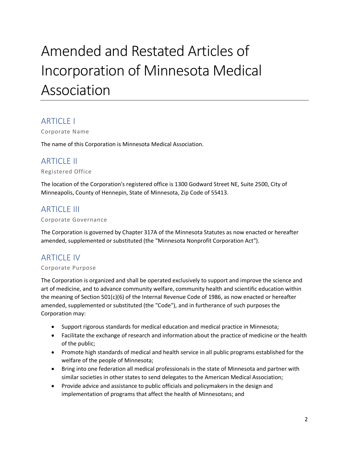# Amended and Restated Articles of Incorporation of Minnesota Medical Association

## ARTICLE I

Corporate Name

The name of this Corporation is Minnesota Medical Association.

## **ARTICLE II**

Registered Office

The location of the Corporation's registered office is 1300 Godward Street NE, Suite 2500, City of Minneapolis, County of Hennepin, State of Minnesota, Zip Code of 55413.

## **ARTICLE III**

Corporate Governance

The Corporation is governed by Chapter 317A of the Minnesota Statutes as now enacted or hereafter amended, supplemented or substituted (the "Minnesota Nonprofit Corporation Act").

# **ARTICLE IV**

#### Corporate Purpose

The Corporation is organized and shall be operated exclusively to support and improve the science and art of medicine, and to advance community welfare, community health and scientific education within the meaning of Section 501(c)(6) of the Internal Revenue Code of 1986, as now enacted or hereafter amended, supplemented or substituted (the "Code"), and in furtherance of such purposes the Corporation may:

- Support rigorous standards for medical education and medical practice in Minnesota;
- Facilitate the exchange of research and information about the practice of medicine or the health of the public;
- Promote high standards of medical and health service in all public programs established for the welfare of the people of Minnesota;
- Bring into one federation all medical professionals in the state of Minnesota and partner with similar societies in other states to send delegates to the American Medical Association;
- Provide advice and assistance to public officials and policymakers in the design and implementation of programs that affect the health of Minnesotans; and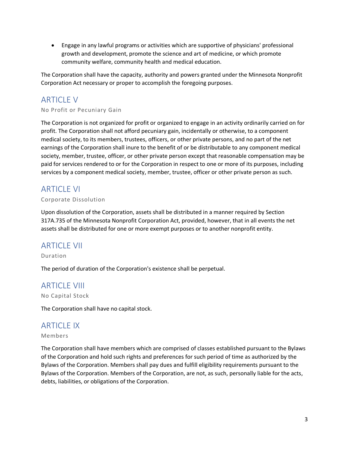• Engage in any lawful programs or activities which are supportive of physicians' professional growth and development, promote the science and art of medicine, or which promote community welfare, community health and medical education.

The Corporation shall have the capacity, authority and powers granted under the Minnesota Nonprofit Corporation Act necessary or proper to accomplish the foregoing purposes.

# ARTICLE V

#### No Profit or Pecuniary Gain

The Corporation is not organized for profit or organized to engage in an activity ordinarily carried on for profit. The Corporation shall not afford pecuniary gain, incidentally or otherwise, to a component medical society, to its members, trustees, officers, or other private persons, and no part of the net earnings of the Corporation shall inure to the benefit of or be distributable to any component medical society, member, trustee, officer, or other private person except that reasonable compensation may be paid for services rendered to or for the Corporation in respect to one or more of its purposes, including services by a component medical society, member, trustee, officer or other private person as such.

### ARTICLE VI

#### Corporate Dissolution

Upon dissolution of the Corporation, assets shall be distributed in a manner required by Section 317A.735 of the Minnesota Nonprofit Corporation Act, provided, however, that in all events the net assets shall be distributed for one or more exempt purposes or to another nonprofit entity.

### ARTICLE VII

Duration

The period of duration of the Corporation's existence shall be perpetual.

## **ARTICLE VIII**

No Capital Stock

The Corporation shall have no capital stock.

## ARTICLE IX

#### Members

The Corporation shall have members which are comprised of classes established pursuant to the Bylaws of the Corporation and hold such rights and preferences for such period of time as authorized by the Bylaws of the Corporation. Members shall pay dues and fulfill eligibility requirements pursuant to the Bylaws of the Corporation. Members of the Corporation, are not, as such, personally liable for the acts, debts, liabilities, or obligations of the Corporation.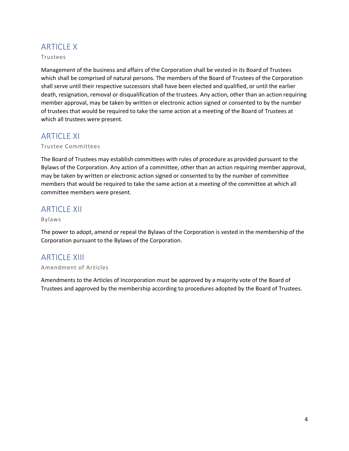# **ARTICLE X**

#### Trustees

Management of the business and affairs of the Corporation shall be vested in its Board of Trustees which shall be comprised of natural persons. The members of the Board of Trustees of the Corporation shall serve until their respective successors shall have been elected and qualified, or until the earlier death, resignation, removal or disqualification of the trustees. Any action, other than an action requiring member approval, may be taken by written or electronic action signed or consented to by the number of trustees that would be required to take the same action at a meeting of the Board of Trustees at which all trustees were present.

## ARTICLE XI

#### Trustee Committees

The Board of Trustees may establish committees with rules of procedure as provided pursuant to the Bylaws of the Corporation. Any action of a committee, other than an action requiring member approval, may be taken by written or electronic action signed or consented to by the number of committee members that would be required to take the same action at a meeting of the committee at which all committee members were present.

### **ARTICLE XII**

#### Bylaws

The power to adopt, amend or repeal the Bylaws of the Corporation is vested in the membership of the Corporation pursuant to the Bylaws of the Corporation.

## ARTICLE XIII

#### Amendment of Articles

Amendments to the Articles of Incorporation must be approved by a majority vote of the Board of Trustees and approved by the membership according to procedures adopted by the Board of Trustees.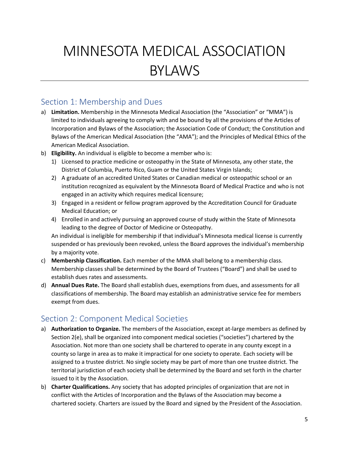# MINNESOTA MEDICAL ASSOCIATION BYLAWS

## Section 1: Membership and Dues

- a) **Limitation.** Membership in the Minnesota Medical Association (the "Association" or "MMA") is limited to individuals agreeing to comply with and be bound by all the provisions of the Articles of Incorporation and Bylaws of the Association; the Association Code of Conduct; the Constitution and Bylaws of the American Medical Association (the "AMA"); and the Principles of Medical Ethics of the American Medical Association.
- b) **Eligibility.** An individual is eligible to become a member who is:
	- 1) Licensed to practice medicine or osteopathy in the State of Minnesota, any other state, the District of Columbia, Puerto Rico, Guam or the United States Virgin Islands;
	- 2) A graduate of an accredited United States or Canadian medical or osteopathic school or an institution recognized as equivalent by the Minnesota Board of Medical Practice and who is not engaged in an activity which requires medical licensure;
	- 3) Engaged in a resident or fellow program approved by the Accreditation Council for Graduate Medical Education; or
	- 4) Enrolled in and actively pursuing an approved course of study within the State of Minnesota leading to the degree of Doctor of Medicine or Osteopathy.

An individual is ineligible for membership if that individual's Minnesota medical license is currently suspended or has previously been revoked, unless the Board approves the individual's membership by a majority vote.

- c) **Membership Classification.** Each member of the MMA shall belong to a membership class. Membership classes shall be determined by the Board of Trustees ("Board") and shall be used to establish dues rates and assessments.
- d) **Annual Dues Rate.** The Board shall establish dues, exemptions from dues, and assessments for all classifications of membership. The Board may establish an administrative service fee for members exempt from dues.

## Section 2: Component Medical Societies

- a) **Authorization to Organize.** The members of the Association, except at-large members as defined by Section 2(e), shall be organized into component medical societies ("societies") chartered by the Association. Not more than one society shall be chartered to operate in any county except in a county so large in area as to make it impractical for one society to operate. Each society will be assigned to a trustee district. No single society may be part of more than one trustee district. The territorial jurisdiction of each society shall be determined by the Board and set forth in the charter issued to it by the Association.
- b) **Charter Qualifications.** Any society that has adopted principles of organization that are not in conflict with the Articles of Incorporation and the Bylaws of the Association may become a chartered society. Charters are issued by the Board and signed by the President of the Association.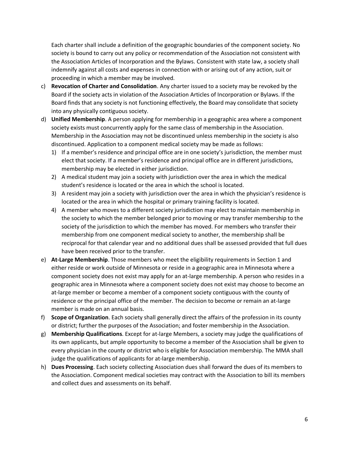Each charter shall include a definition of the geographic boundaries of the component society. No society is bound to carry out any policy or recommendation of the Association not consistent with the Association Articles of Incorporation and the Bylaws. Consistent with state law, a society shall indemnify against all costs and expenses in connection with or arising out of any action, suit or proceeding in which a member may be involved.

- c) **Revocation of Charter and Consolidation**. Any charter issued to a society may be revoked by the Board if the society acts in violation of the Association Articles of Incorporation or Bylaws. If the Board finds that any society is not functioning effectively, the Board may consolidate that society into any physically contiguous society.
- d) **Unified Membership**. A person applying for membership in a geographic area where a component society exists must concurrently apply for the same class of membership in the Association. Membership in the Association may not be discontinued unless membership in the society is also discontinued. Application to a component medical society may be made as follows:
	- 1) If a member's residence and principal office are in one society's jurisdiction, the member must elect that society. If a member's residence and principal office are in different jurisdictions, membership may be elected in either jurisdiction.
	- 2) A medical student may join a society with jurisdiction over the area in which the medical student's residence is located or the area in which the school is located.
	- 3) A resident may join a society with jurisdiction over the area in which the physician's residence is located or the area in which the hospital or primary training facility is located.
	- 4) A member who moves to a different society jurisdiction may elect to maintain membership in the society to which the member belonged prior to moving or may transfer membership to the society of the jurisdiction to which the member has moved. For members who transfer their membership from one component medical society to another, the membership shall be reciprocal for that calendar year and no additional dues shall be assessed provided that full dues have been received prior to the transfer.
- e) **At-Large Membership**. Those members who meet the eligibility requirements in Section 1 and either reside or work outside of Minnesota or reside in a geographic area in Minnesota where a component society does not exist may apply for an at-large membership. A person who resides in a geographic area in Minnesota where a component society does not exist may choose to become an at-large member or become a member of a component society contiguous with the county of residence or the principal office of the member. The decision to become or remain an at-large member is made on an annual basis.
- f) **Scope of Organization**. Each society shall generally direct the affairs of the profession in its county or district; further the purposes of the Association; and foster membership in the Association.
- g) **Membership Qualifications**. Except for at-large Members, a society may judge the qualifications of its own applicants, but ample opportunity to become a member of the Association shall be given to every physician in the county or district who is eligible for Association membership. The MMA shall judge the qualifications of applicants for at-large membership.
- h) **Dues Processing**. Each society collecting Association dues shall forward the dues of its members to the Association. Component medical societies may contract with the Association to bill its members and collect dues and assessments on its behalf.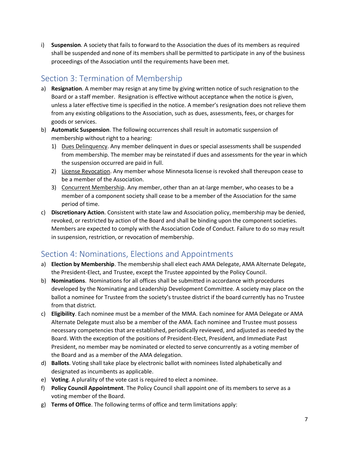i) **Suspension**. A society that fails to forward to the Association the dues of its members as required shall be suspended and none of its members shall be permitted to participate in any of the business proceedings of the Association until the requirements have been met.

# Section 3: Termination of Membership

- a) **Resignation**. A member may resign at any time by giving written notice of such resignation to the Board or a staff member. Resignation is effective without acceptance when the notice is given, unless a later effective time is specified in the notice. A member's resignation does not relieve them from any existing obligations to the Association, such as dues, assessments, fees, or charges for goods or services.
- b) **Automatic Suspension**. The following occurrences shall result in automatic suspension of membership without right to a hearing:
	- 1) Dues Delinquency. Any member delinquent in dues or special assessments shall be suspended from membership. The member may be reinstated if dues and assessments for the year in which the suspension occurred are paid in full.
	- 2) License Revocation. Any member whose Minnesota license is revoked shall thereupon cease to be a member of the Association.
	- 3) Concurrent Membership. Any member, other than an at-large member, who ceases to be a member of a component society shall cease to be a member of the Association for the same period of time.
- c) **Discretionary Action**. Consistent with state law and Association policy, membership may be denied, revoked, or restricted by action of the Board and shall be binding upon the component societies. Members are expected to comply with the Association Code of Conduct. Failure to do so may result in suspension, restriction, or revocation of membership.

# Section 4: Nominations, Elections and Appointments

- a) **Election by Membership**. The membership shall elect each AMA Delegate, AMA Alternate Delegate, the President-Elect, and Trustee, except the Trustee appointed by the Policy Council.
- b) **Nominations**. Nominations for all offices shall be submitted in accordance with procedures developed by the Nominating and Leadership Development Committee. A society may place on the ballot a nominee for Trustee from the society's trustee district if the board currently has no Trustee from that district.
- c) **Eligibility**. Each nominee must be a member of the MMA. Each nominee for AMA Delegate or AMA Alternate Delegate must also be a member of the AMA. Each nominee and Trustee must possess necessary competencies that are established, periodically reviewed, and adjusted as needed by the Board. With the exception of the positions of President-Elect, President, and Immediate Past President, no member may be nominated or elected to serve concurrently as a voting member of the Board and as a member of the AMA delegation.
- d) **Ballots**. Voting shall take place by electronic ballot with nominees listed alphabetically and designated as incumbents as applicable.
- e) **Voting**. A plurality of the vote cast is required to elect a nominee.
- f) **Policy Council Appointment**. The Policy Council shall appoint one of its members to serve as a voting member of the Board.
- g) **Terms of Office**. The following terms of office and term limitations apply: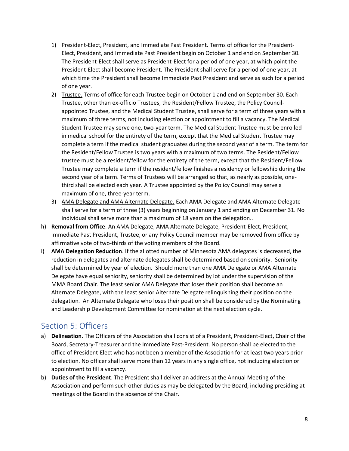- 1) President-Elect, President, and Immediate Past President. Terms of office for the President-Elect, President, and Immediate Past President begin on October 1 and end on September 30. The President-Elect shall serve as President-Elect for a period of one year, at which point the President-Elect shall become President. The President shall serve for a period of one year, at which time the President shall become Immediate Past President and serve as such for a period of one year.
- 2) Trustee. Terms of office for each Trustee begin on October 1 and end on September 30. Each Trustee, other than ex-officio Trustees, the Resident/Fellow Trustee, the Policy Councilappointed Trustee, and the Medical Student Trustee, shall serve for a term of three years with a maximum of three terms, not including election or appointment to fill a vacancy. The Medical Student Trustee may serve one, two-year term. The Medical Student Trustee must be enrolled in medical school for the entirety of the term, except that the Medical Student Trustee may complete a term if the medical student graduates during the second year of a term. The term for the Resident/Fellow Trustee is two years with a maximum of two terms. The Resident/Fellow trustee must be a resident/fellow for the entirety of the term, except that the Resident/Fellow Trustee may complete a term if the resident/fellow finishes a residency or fellowship during the second year of a term. Terms of Trustees will be arranged so that, as nearly as possible, onethird shall be elected each year. A Trustee appointed by the Policy Council may serve a maximum of one, three-year term.
- 3) AMA Delegate and AMA Alternate Delegate. Each AMA Delegate and AMA Alternate Delegate shall serve for a term of three (3) years beginning on January 1 and ending on December 31. No individual shall serve more than a maximum of 18 years on the delegation..
- h) **Removal from Office**. An AMA Delegate, AMA Alternate Delegate, President-Elect, President, Immediate Past President, Trustee, or any Policy Council member may be removed from office by affirmative vote of two-thirds of the voting members of the Board.
- i) **AMA Delegation Reduction**. If the allotted number of Minnesota AMA delegates is decreased, the reduction in delegates and alternate delegates shall be determined based on seniority. Seniority shall be determined by year of election. Should more than one AMA Delegate or AMA Alternate Delegate have equal seniority, seniority shall be determined by lot under the supervision of the MMA Board Chair. The least senior AMA Delegate that loses their position shall become an Alternate Delegate, with the least senior Alternate Delegate relinquishing their position on the delegation. An Alternate Delegate who loses their position shall be considered by the Nominating and Leadership Development Committee for nomination at the next election cycle.

## Section 5: Officers

- a) **Delineation**. The Officers of the Association shall consist of a President, President-Elect, Chair of the Board, Secretary-Treasurer and the Immediate Past-President. No person shall be elected to the office of President-Elect who has not been a member of the Association for at least two years prior to election. No officer shall serve more than 12 years in any single office, not including election or appointment to fill a vacancy.
- b) **Duties of the President**. The President shall deliver an address at the Annual Meeting of the Association and perform such other duties as may be delegated by the Board, including presiding at meetings of the Board in the absence of the Chair.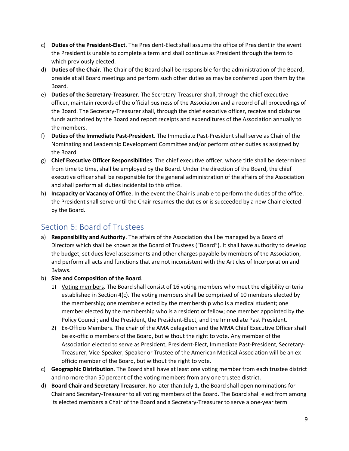- c) **Duties of the President-Elect**. The President-Elect shall assume the office of President in the event the President is unable to complete a term and shall continue as President through the term to which previously elected.
- d) **Duties of the Chair**. The Chair of the Board shall be responsible for the administration of the Board, preside at all Board meetings and perform such other duties as may be conferred upon them by the Board.
- e) **Duties of the Secretary-Treasurer**. The Secretary-Treasurer shall, through the chief executive officer, maintain records of the official business of the Association and a record of all proceedings of the Board. The Secretary-Treasurer shall, through the chief executive officer, receive and disburse funds authorized by the Board and report receipts and expenditures of the Association annually to the members.
- f) **Duties of the Immediate Past-President**. The Immediate Past-President shall serve as Chair of the Nominating and Leadership Development Committee and/or perform other duties as assigned by the Board.
- g) **Chief Executive Officer Responsibilities**. The chief executive officer, whose title shall be determined from time to time, shall be employed by the Board. Under the direction of the Board, the chief executive officer shall be responsible for the general administration of the affairs of the Association and shall perform all duties incidental to this office.
- h) **Incapacity or Vacancy of Office**. In the event the Chair is unable to perform the duties of the office, the President shall serve until the Chair resumes the duties or is succeeded by a new Chair elected by the Board.

## Section 6: Board of Trustees

- a) **Responsibility and Authority**. The affairs of the Association shall be managed by a Board of Directors which shall be known as the Board of Trustees ("Board"). It shall have authority to develop the budget, set dues level assessments and other charges payable by members of the Association, and perform all acts and functions that are not inconsistent with the Articles of Incorporation and Bylaws.
- b) **Size and Composition of the Board**.
	- 1) Voting members. The Board shall consist of 16 voting members who meet the eligibility criteria established in Section  $4(c)$ . The voting members shall be comprised of 10 members elected by the membership; one member elected by the membership who is a medical student; one member elected by the membership who is a resident or fellow; one member appointed by the Policy Council; and the President, the President-Elect, and the Immediate Past President.
	- 2) Ex-Officio Members. The chair of the AMA delegation and the MMA Chief Executive Officer shall be ex-officio members of the Board, but without the right to vote. Any member of the Association elected to serve as President, President-Elect, Immediate Past-President, Secretary-Treasurer, Vice-Speaker, Speaker or Trustee of the American Medical Association will be an exofficio member of the Board, but without the right to vote.
- c) **Geographic Distribution**. The Board shall have at least one voting member from each trustee district and no more than 50 percent of the voting members from any one trustee district.
- d) **Board Chair and Secretary Treasurer**. No later than July 1, the Board shall open nominations for Chair and Secretary-Treasurer to all voting members of the Board. The Board shall elect from among its elected members a Chair of the Board and a Secretary-Treasurer to serve a one-year term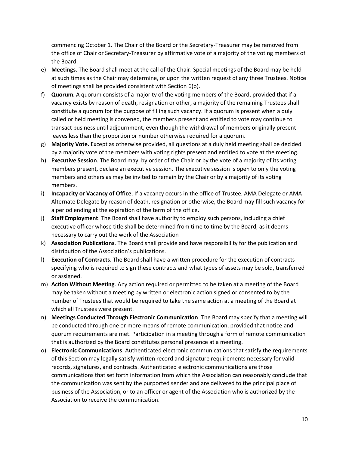commencing October 1. The Chair of the Board or the Secretary-Treasurer may be removed from the office of Chair or Secretary-Treasurer by affirmative vote of a majority of the voting members of the Board.

- e) **Meetings**. The Board shall meet at the call of the Chair. Special meetings of the Board may be held at such times as the Chair may determine, or upon the written request of any three Trustees. Notice of meetings shall be provided consistent with Section 6(p).
- f) **Quorum**. A quorum consists of a majority of the voting members of the Board, provided that if a vacancy exists by reason of death, resignation or other, a majority of the remaining Trustees shall constitute a quorum for the purpose of filling such vacancy. If a quorum is present when a duly called or held meeting is convened, the members present and entitled to vote may continue to transact business until adjournment, even though the withdrawal of members originally present leaves less than the proportion or number otherwise required for a quorum.
- g) **Majority Vote.** Except as otherwise provided, all questions at a duly held meeting shall be decided by a majority vote of the members with voting rights present and entitled to vote at the meeting.
- h) **Executive Session**. The Board may, by order of the Chair or by the vote of a majority of its voting members present, declare an executive session. The executive session is open to only the voting members and others as may be invited to remain by the Chair or by a majority of its voting members.
- i) **Incapacity or Vacancy of Office**. If a vacancy occurs in the office of Trustee, AMA Delegate or AMA Alternate Delegate by reason of death, resignation or otherwise, the Board may fill such vacancy for a period ending at the expiration of the term of the office.
- j) **Staff Employment**. The Board shall have authority to employ such persons, including a chief executive officer whose title shall be determined from time to time by the Board, as it deems necessary to carry out the work of the Association
- k) **Association Publications**. The Board shall provide and have responsibility for the publication and distribution of the Association's publications.
- l) **Execution of Contracts**. The Board shall have a written procedure for the execution of contracts specifying who is required to sign these contracts and what types of assets may be sold, transferred or assigned.
- m) **Action Without Meeting**. Any action required or permitted to be taken at a meeting of the Board may be taken without a meeting by written or electronic action signed or consented to by the number of Trustees that would be required to take the same action at a meeting of the Board at which all Trustees were present.
- n) **Meetings Conducted Through Electronic Communication**. The Board may specify that a meeting will be conducted through one or more means of remote communication, provided that notice and quorum requirements are met. Participation in a meeting through a form of remote communication that is authorized by the Board constitutes personal presence at a meeting.
- o) **Electronic Communications**. Authenticated electronic communications that satisfy the requirements of this Section may legally satisfy written record and signature requirements necessary for valid records, signatures, and contracts. Authenticated electronic communications are those communications that set forth information from which the Association can reasonably conclude that the communication was sent by the purported sender and are delivered to the principal place of business of the Association, or to an officer or agent of the Association who is authorized by the Association to receive the communication.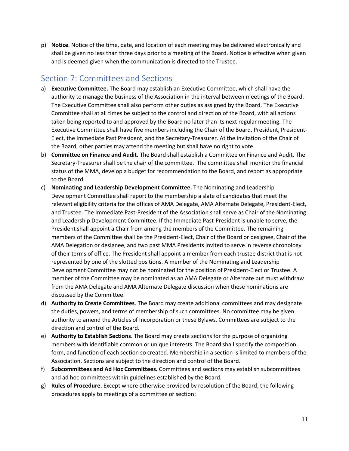p) **Notice**. Notice of the time, date, and location of each meeting may be delivered electronically and shall be given no less than three days prior to a meeting of the Board. Notice is effective when given and is deemed given when the communication is directed to the Trustee.

## Section 7: Committees and Sections

- a) **Executive Committee.** The Board may establish an Executive Committee, which shall have the authority to manage the business of the Association in the interval between meetings of the Board. The Executive Committee shall also perform other duties as assigned by the Board. The Executive Committee shall at all times be subject to the control and direction of the Board, with all actions taken being reported to and approved by the Board no later than its next regular meeting. The Executive Committee shall have five members including the Chair of the Board, President, President-Elect, the Immediate Past President, and the Secretary-Treasurer. At the invitation of the Chair of the Board, other parties may attend the meeting but shall have no right to vote.
- b) **Committee on Finance and Audit.** The Board shall establish a Committee on Finance and Audit. The Secretary-Treasurer shall be the chair of the committee. The committee shall monitor the financial status of the MMA, develop a budget for recommendation to the Board, and report as appropriate to the Board.
- c) **Nominating and Leadership Development Committee.** The Nominating and Leadership Development Committee shall report to the membership a slate of candidates that meet the relevant eligibility criteria for the offices of AMA Delegate, AMA Alternate Delegate, President-Elect, and Trustee. The Immediate Past-President of the Association shall serve as Chair of the Nominating and Leadership Development Committee. If the Immediate Past-President is unable to serve, the President shall appoint a Chair from among the members of the Committee. The remaining members of the Committee shall be the President-Elect, Chair of the Board or designee, Chair of the AMA Delegation or designee, and two past MMA Presidents invited to serve in reverse chronology of their terms of office. The President shall appoint a member from each trustee district that is not represented by one of the slotted positions. A member of the Nominating and Leadership Development Committee may not be nominated for the position of President-Elect or Trustee. A member of the Committee may be nominated as an AMA Delegate or Alternate but must withdraw from the AMA Delegate and AMA Alternate Delegate discussion when these nominations are discussed by the Committee.
- d) **Authority to Create Committees**. The Board may create additional committees and may designate the duties, powers, and terms of membership of such committees. No committee may be given authority to amend the Articles of Incorporation or these Bylaws. Committees are subject to the direction and control of the Board.
- e) **Authority to Establish Sections**. The Board may create sections for the purpose of organizing members with identifiable common or unique interests. The Board shall specify the composition, form, and function of each section so created. Membership in a section is limited to members of the Association. Sections are subject to the direction and control of the Board.
- f) **Subcommittees and Ad Hoc Committees.** Committees and sections may establish subcommittees and ad hoc committees within guidelines established by the Board.
- g) **Rules of Procedure.** Except where otherwise provided by resolution of the Board, the following procedures apply to meetings of a committee or section: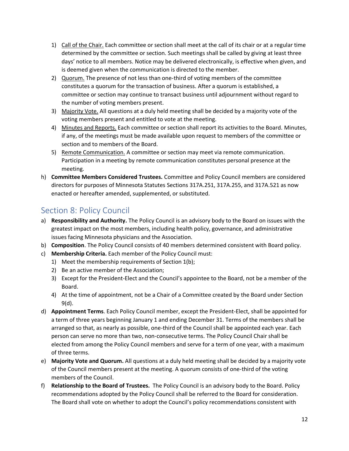- 1) Call of the Chair. Each committee or section shall meet at the call of its chair or at a regular time determined by the committee or section. Such meetings shall be called by giving at least three days' notice to all members. Notice may be delivered electronically, is effective when given, and is deemed given when the communication is directed to the member.
- 2) Quorum. The presence of not less than one-third of voting members of the committee constitutes a quorum for the transaction of business. After a quorum is established, a committee or section may continue to transact business until adjournment without regard to the number of voting members present.
- 3) Majority Vote. All questions at a duly held meeting shall be decided by a majority vote of the voting members present and entitled to vote at the meeting.
- 4) Minutes and Reports. Each committee or section shall report its activities to the Board. Minutes, if any, of the meetings must be made available upon request to members of the committee or section and to members of the Board.
- 5) Remote Communication. A committee or section may meet via remote communication. Participation in a meeting by remote communication constitutes personal presence at the meeting.
- h) **Committee Members Considered Trustees.** Committee and Policy Council members are considered directors for purposes of Minnesota Statutes Sections 317A.251, 317A.255, and 317A.521 as now enacted or hereafter amended, supplemented, or substituted.

# Section 8: Policy Council

- a) **Responsibility and Authority.** The Policy Council is an advisory body to the Board on issues with the greatest impact on the most members, including health policy, governance, and administrative issues facing Minnesota physicians and the Association.
- b) **Composition**. The Policy Council consists of 40 members determined consistent with Board policy.
- c) **Membership Criteria.** Each member of the Policy Council must:
	- 1) Meet the membership requirements of Section 1(b);
	- 2) Be an active member of the Association;
	- 3) Except for the President-Elect and the Council's appointee to the Board, not be a member of the Board.
	- 4) At the time of appointment, not be a Chair of a Committee created by the Board under Section 9(d).
- d) **Appointment Terms**. Each Policy Council member, except the President-Elect, shall be appointed for a term of three years beginning January 1 and ending December 31. Terms of the members shall be arranged so that, as nearly as possible, one-third of the Council shall be appointed each year. Each person can serve no more than two, non-consecutive terms. The Policy Council Chair shall be elected from among the Policy Council members and serve for a term of one year, with a maximum of three terms.
- e) **Majority Vote and Quorum.** All questions at a duly held meeting shall be decided by a majority vote of the Council members present at the meeting. A quorum consists of one-third of the voting members of the Council.
- f) **Relationship to the Board of Trustees.** The Policy Council is an advisory body to the Board. Policy recommendations adopted by the Policy Council shall be referred to the Board for consideration. The Board shall vote on whether to adopt the Council's policy recommendations consistent with